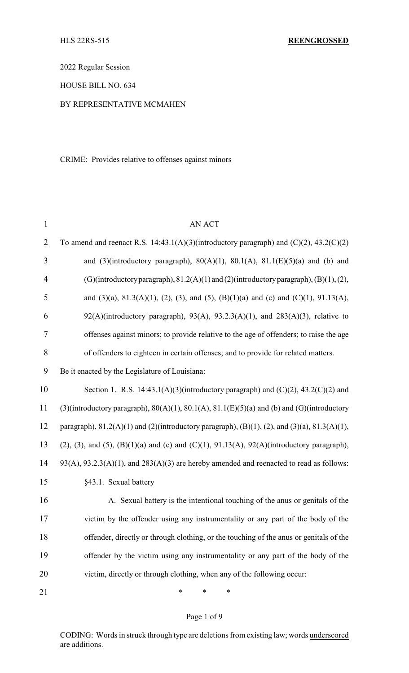2022 Regular Session

HOUSE BILL NO. 634

## BY REPRESENTATIVE MCMAHEN

CRIME: Provides relative to offenses against minors

| $\mathbf{1}$   | <b>AN ACT</b>                                                                                                   |
|----------------|-----------------------------------------------------------------------------------------------------------------|
| $\overline{2}$ | To amend and reenact R.S. 14:43.1(A)(3)(introductory paragraph) and $(C)(2)$ , 43.2(C)(2)                       |
| 3              | and (3)(introductory paragraph), $80(A)(1)$ , $80.1(A)$ , $81.1(E)(5)(a)$ and (b) and                           |
| $\overline{4}$ | (G)(introductory paragraph), $81.2(A)(1)$ and (2)(introductory paragraph), (B)(1), (2),                         |
| 5              | and $(3)(a)$ , $81.3(A)(1)$ , $(2)$ , $(3)$ , and $(5)$ , $(B)(1)(a)$ and $(c)$ and $(C)(1)$ , $91.13(A)$ ,     |
| 6              | $92(A)$ (introductory paragraph), $93(A)$ , $93.2.3(A)(1)$ , and $283(A)(3)$ , relative to                      |
| 7              | offenses against minors; to provide relative to the age of offenders; to raise the age                          |
| 8              | of offenders to eighteen in certain offenses; and to provide for related matters.                               |
| 9              | Be it enacted by the Legislature of Louisiana:                                                                  |
| 10             | Section 1. R.S. 14:43.1(A)(3)(introductory paragraph) and $(C)(2)$ , 43.2(C)(2) and                             |
| 11             | (3)(introductory paragraph), $80(A)(1)$ , $80.1(A)$ , $81.1(E)(5)(a)$ and (b) and (G)(introductory              |
| 12             | paragraph), $81.2(A)(1)$ and $(2)$ (introductory paragraph), $(B)(1)$ , $(2)$ , and $(3)(a)$ , $81.3(A)(1)$ ,   |
| 13             | $(2)$ , $(3)$ , and $(5)$ , $(B)(1)(a)$ and $(c)$ and $(C)(1)$ , $91.13(A)$ , $92(A)(introductory paragraph)$ , |
| 14             | $93(A), 93.2.3(A)(1),$ and $283(A)(3)$ are hereby amended and reenacted to read as follows:                     |
| 15             | §43.1. Sexual battery                                                                                           |
| 16             | A. Sexual battery is the intentional touching of the anus or genitals of the                                    |
| 17             | victim by the offender using any instrumentality or any part of the body of the                                 |
| 18             | offender, directly or through clothing, or the touching of the anus or genitals of the                          |
| 19             | offender by the victim using any instrumentality or any part of the body of the                                 |
| 20             | victim, directly or through clothing, when any of the following occur:                                          |
| 21             | ∗<br>∗<br>∗                                                                                                     |

# Page 1 of 9

CODING: Words in struck through type are deletions from existing law; words underscored are additions.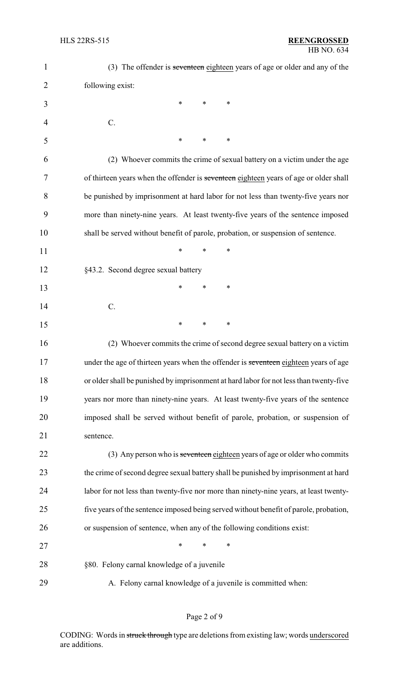| $\mathbf{1}$   | (3) The offender is seventeen eighteen years of age or older and any of the            |
|----------------|----------------------------------------------------------------------------------------|
| $\overline{2}$ | following exist:                                                                       |
| 3              | ∗<br>∗<br>∗                                                                            |
| 4              | C.                                                                                     |
| 5              | ∗<br>∗<br>∗                                                                            |
| 6              | (2) Whoever commits the crime of sexual battery on a victim under the age              |
| 7              | of thirteen years when the offender is seventeen eighteen years of age or older shall  |
| 8              | be punished by imprisonment at hard labor for not less than twenty-five years nor      |
| 9              | more than ninety-nine years. At least twenty-five years of the sentence imposed        |
| 10             | shall be served without benefit of parole, probation, or suspension of sentence.       |
| 11             | ∗<br>*<br>∗                                                                            |
| 12             | §43.2. Second degree sexual battery                                                    |
| 13             | $\ast$<br>∗<br>∗                                                                       |
| 14             | C.                                                                                     |
| 15             | ∗<br>∗<br>∗                                                                            |
| 16             | (2) Whoever commits the crime of second degree sexual battery on a victim              |
| 17             | under the age of thirteen years when the offender is seventeen eighteen years of age   |
| 18             | or older shall be punished by imprisonment at hard labor for not less than twenty-five |
| 19             | years nor more than ninety-nine years. At least twenty-five years of the sentence      |
| 20             | imposed shall be served without benefit of parole, probation, or suspension of         |
| 21             | sentence.                                                                              |
| 22             | (3) Any person who is seventeen eighteen years of age or older who commits             |
| 23             | the crime of second degree sexual battery shall be punished by imprisonment at hard    |
| 24             | labor for not less than twenty-five nor more than ninety-nine years, at least twenty-  |
| 25             | five years of the sentence imposed being served without benefit of parole, probation,  |
| 26             | or suspension of sentence, when any of the following conditions exist:                 |
| 27             | $\ast$<br>$\ast$<br>∗                                                                  |
| 28             | §80. Felony carnal knowledge of a juvenile                                             |
| 29             | A. Felony carnal knowledge of a juvenile is committed when:                            |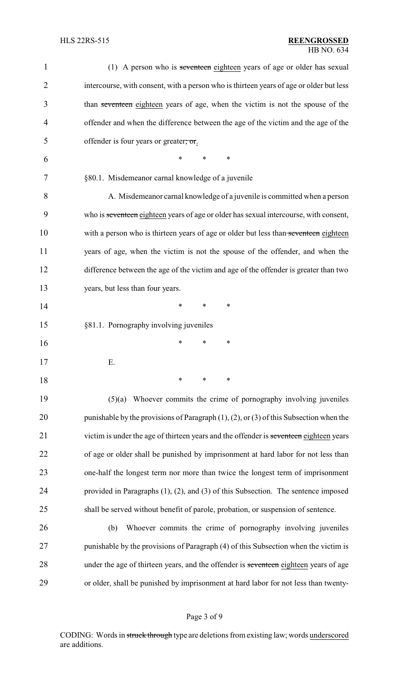| $\mathbf 1$ | (1) A person who is seventeen eighteen years of age or older has sexual                        |
|-------------|------------------------------------------------------------------------------------------------|
| 2           | intercourse, with consent, with a person who is thirteen years of age or older but less        |
| 3           | than seventeen eighteen years of age, when the victim is not the spouse of the                 |
| 4           | offender and when the difference between the age of the victim and the age of the              |
| 5           | offender is four years or greater; or.                                                         |
| 6           | $\ast$<br>*<br>∗                                                                               |
| 7           | §80.1. Misdemeanor carnal knowledge of a juvenile                                              |
| 8           | A. Misdemeanor carnal knowledge of a juvenile is committed when a person                       |
| 9           | who is seventeen eighteen years of age or older has sexual intercourse, with consent,          |
| 10          | with a person who is thirteen years of age or older but less than seventeen eighteen           |
| 11          | years of age, when the victim is not the spouse of the offender, and when the                  |
| 12          | difference between the age of the victim and age of the offender is greater than two           |
| 13          | years, but less than four years.                                                               |
| 14          | $\ast$<br>∗<br>∗                                                                               |
| 15          | §81.1. Pornography involving juveniles                                                         |
| 16          | ∗<br>*<br>∗                                                                                    |
| 17          | Ε.                                                                                             |
| 18          | $\ast$<br>∗<br>∗                                                                               |
| 19          | Whoever commits the crime of pornography involving juveniles<br>(5)(a)                         |
| 20          | punishable by the provisions of Paragraph $(1)$ , $(2)$ , or $(3)$ of this Subsection when the |
| 21          | victim is under the age of thirteen years and the offender is seventeen eighteen years         |
| 22          | of age or older shall be punished by imprisonment at hard labor for not less than              |
| 23          | one-half the longest term nor more than twice the longest term of imprisonment                 |
| 24          | provided in Paragraphs $(1)$ , $(2)$ , and $(3)$ of this Subsection. The sentence imposed      |
| 25          | shall be served without benefit of parole, probation, or suspension of sentence.               |
| 26          | Whoever commits the crime of pornography involving juveniles<br>(b)                            |
| 27          | punishable by the provisions of Paragraph (4) of this Subsection when the victim is            |
| 28          | under the age of thirteen years, and the offender is seventeen eighteen years of age           |
| 29          | or older, shall be punished by imprisonment at hard labor for not less than twenty-            |
|             |                                                                                                |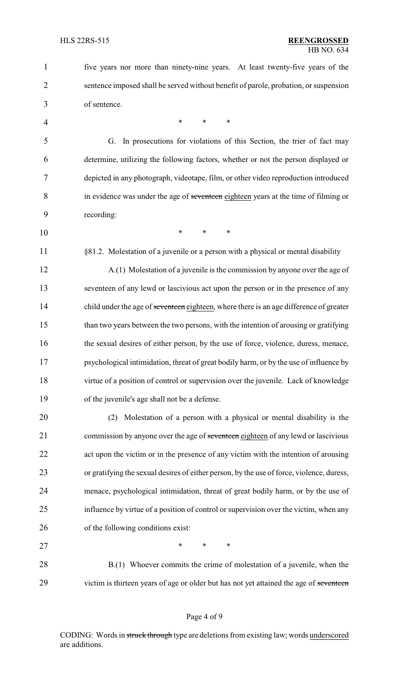five years nor more than ninety-nine years. At least twenty-five years of the sentence imposed shall be served without benefit of parole, probation, or suspension of sentence. 4 \* \* \* \* G. In prosecutions for violations of this Section, the trier of fact may determine, utilizing the following factors, whether or not the person displayed or depicted in any photograph, videotape, film, or other video reproduction introduced in evidence was under the age of seventeen eighteen years at the time of filming or recording: \* \* \* 11 §81.2. Molestation of a juvenile or a person with a physical or mental disability A.(1) Molestation of a juvenile is the commission by anyone over the age of seventeen of any lewd or lascivious act upon the person or in the presence of any 14 child under the age of seventeen eighteen, where there is an age difference of greater than two years between the two persons, with the intention of arousing or gratifying 16 the sexual desires of either person, by the use of force, violence, duress, menace, psychological intimidation, threat of great bodily harm, or by the use of influence by virtue of a position of control or supervision over the juvenile. Lack of knowledge of the juvenile's age shall not be a defense. (2) Molestation of a person with a physical or mental disability is the 21 commission by anyone over the age of seventeen eighteen of any lewd or lascivious act upon the victim or in the presence of any victim with the intention of arousing or gratifying the sexual desires of either person, by the use of force, violence, duress, menace, psychological intimidation, threat of great bodily harm, or by the use of influence by virtue of a position of control or supervision over the victim, when any of the following conditions exist: 27 \* \* \* \* 28 B.(1) Whoever commits the crime of molestation of a juvenile, when the 29 victim is thirteen years of age or older but has not yet attained the age of seventeen

### Page 4 of 9

CODING: Words in struck through type are deletions from existing law; words underscored are additions.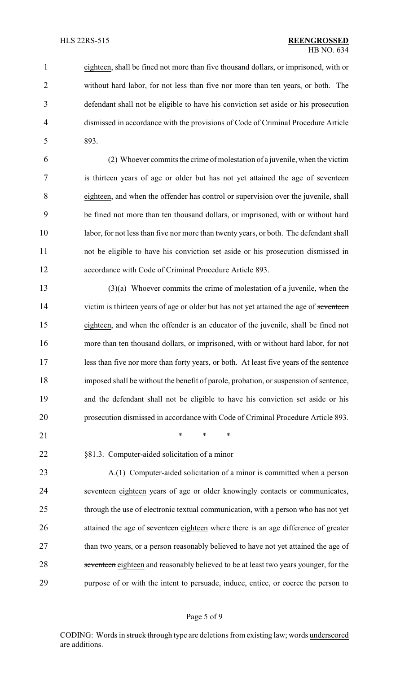eighteen, shall be fined not more than five thousand dollars, or imprisoned, with or without hard labor, for not less than five nor more than ten years, or both. The defendant shall not be eligible to have his conviction set aside or his prosecution dismissed in accordance with the provisions of Code of Criminal Procedure Article 893.

 (2) Whoever commits the crime of molestation of a juvenile, when the victim 7 is thirteen years of age or older but has not yet attained the age of seventeen eighteen, and when the offender has control or supervision over the juvenile, shall be fined not more than ten thousand dollars, or imprisoned, with or without hard labor, for not less than five nor more than twenty years, or both. The defendant shall not be eligible to have his conviction set aside or his prosecution dismissed in accordance with Code of Criminal Procedure Article 893.

 (3)(a) Whoever commits the crime of molestation of a juvenile, when the 14 victim is thirteen years of age or older but has not yet attained the age of seventeen eighteen, and when the offender is an educator of the juvenile, shall be fined not more than ten thousand dollars, or imprisoned, with or without hard labor, for not less than five nor more than forty years, or both. At least five years of the sentence imposed shall be without the benefit of parole, probation, or suspension of sentence, and the defendant shall not be eligible to have his conviction set aside or his prosecution dismissed in accordance with Code of Criminal Procedure Article 893.

21 \* \* \* \*

§81.3. Computer-aided solicitation of a minor

 A.(1) Computer-aided solicitation of a minor is committed when a person 24 seventeen eighteen years of age or older knowingly contacts or communicates, through the use of electronic textual communication, with a person who has not yet 26 attained the age of seventeen eighteen where there is an age difference of greater 27 than two years, or a person reasonably believed to have not yet attained the age of 28 seventeen eighteen and reasonably believed to be at least two years younger, for the purpose of or with the intent to persuade, induce, entice, or coerce the person to

### Page 5 of 9

CODING: Words in struck through type are deletions from existing law; words underscored are additions.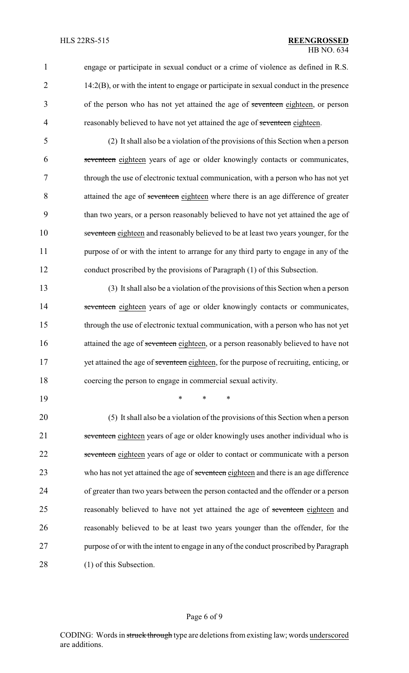1 engage or participate in sexual conduct or a crime of violence as defined in R.S. 2 14:2(B), or with the intent to engage or participate in sexual conduct in the presence 3 of the person who has not yet attained the age of seventeen eighteen, or person 4 reasonably believed to have not yet attained the age of seventeen eighteen.

 (2) It shall also be a violation of the provisions of this Section when a person seventeen eighteen years of age or older knowingly contacts or communicates, through the use of electronic textual communication, with a person who has not yet 8 attained the age of seventeen eighteen where there is an age difference of greater than two years, or a person reasonably believed to have not yet attained the age of seventeen eighteen and reasonably believed to be at least two years younger, for the 11 purpose of or with the intent to arrange for any third party to engage in any of the conduct proscribed by the provisions of Paragraph (1) of this Subsection.

13 (3) It shall also be a violation of the provisions of this Section when a person 14 seventeen eighteen years of age or older knowingly contacts or communicates, 15 through the use of electronic textual communication, with a person who has not yet 16 attained the age of seventeen eighteen, or a person reasonably believed to have not 17 yet attained the age of seventeen eighteen, for the purpose of recruiting, enticing, or 18 coercing the person to engage in commercial sexual activity.

19 \* \* \*

20 (5) It shall also be a violation of the provisions of this Section when a person 21 seventeen eighteen years of age or older knowingly uses another individual who is 22 seventeen eighteen years of age or older to contact or communicate with a person 23 who has not yet attained the age of seventeen eighteen and there is an age difference 24 of greater than two years between the person contacted and the offender or a person 25 reasonably believed to have not yet attained the age of seventeen eighteen and 26 reasonably believed to be at least two years younger than the offender, for the 27 purpose of or with the intent to engage in any of the conduct proscribed by Paragraph 28 (1) of this Subsection.

#### Page 6 of 9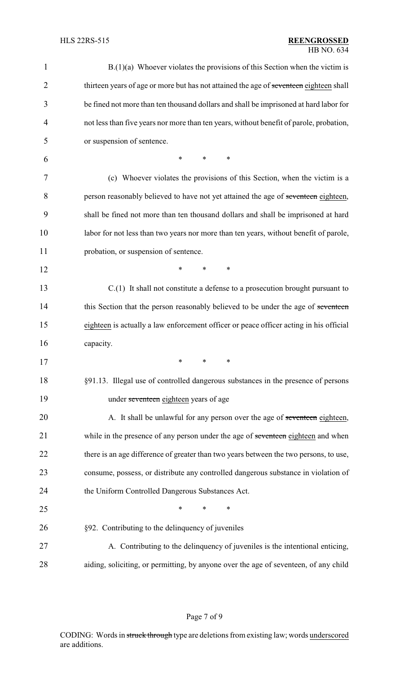| 1              | $B(1)(a)$ Whoever violates the provisions of this Section when the victim is            |
|----------------|-----------------------------------------------------------------------------------------|
| $\overline{2}$ | thirteen years of age or more but has not attained the age of seventeen eighteen shall  |
| 3              | be fined not more than ten thousand dollars and shall be imprisoned at hard labor for   |
| 4              | not less than five years nor more than ten years, without benefit of parole, probation, |
| 5              | or suspension of sentence.                                                              |
| 6              | $\ast$<br>*<br>*                                                                        |
| 7              | (c) Whoever violates the provisions of this Section, when the victim is a               |
| 8              | person reasonably believed to have not yet attained the age of seventeen eighteen,      |
| 9              | shall be fined not more than ten thousand dollars and shall be imprisoned at hard       |
| 10             | labor for not less than two years nor more than ten years, without benefit of parole,   |
| 11             | probation, or suspension of sentence.                                                   |
| 12             | *<br>*<br>∗                                                                             |
| 13             | $C(1)$ It shall not constitute a defense to a prosecution brought pursuant to           |
| 14             | this Section that the person reasonably believed to be under the age of seventeen       |
| 15             | eighteen is actually a law enforcement officer or peace officer acting in his official  |
| 16             | capacity.                                                                               |
| 17             | ∗<br>∗<br>∗                                                                             |
| 18             | §91.13. Illegal use of controlled dangerous substances in the presence of persons       |
| 19             | under seventeen eighteen years of age                                                   |
| 20             | A. It shall be unlawful for any person over the age of seventeen eighteen,              |
| 21             | while in the presence of any person under the age of seventeen eighteen and when        |
| 22             | there is an age difference of greater than two years between the two persons, to use,   |
| 23             | consume, possess, or distribute any controlled dangerous substance in violation of      |
| 24             | the Uniform Controlled Dangerous Substances Act.                                        |
| 25             | ∗<br>*<br>*                                                                             |
| 26             | §92. Contributing to the delinquency of juveniles                                       |
| 27             | A. Contributing to the delinquency of juveniles is the intentional enticing,            |
| 28             | aiding, soliciting, or permitting, by anyone over the age of seventeen, of any child    |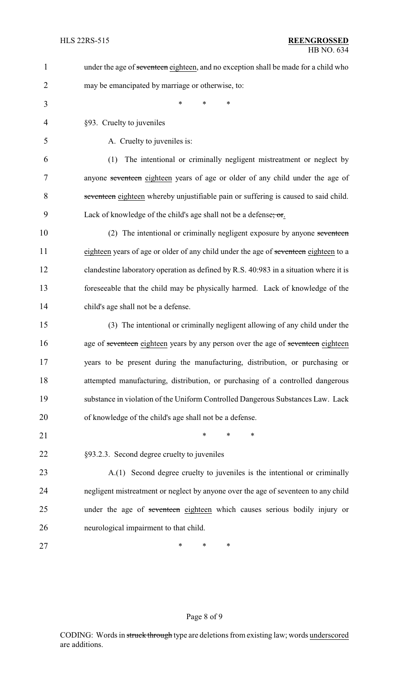| 1              | under the age of seventeen eighteen, and no exception shall be made for a child who   |
|----------------|---------------------------------------------------------------------------------------|
| $\overline{2}$ | may be emancipated by marriage or otherwise, to:                                      |
| 3              | *<br>*<br>$\ast$                                                                      |
| $\overline{4}$ | §93. Cruelty to juveniles                                                             |
| 5              | A. Cruelty to juveniles is:                                                           |
| 6              | The intentional or criminally negligent mistreatment or neglect by<br>(1)             |
| 7              | anyone seventeen eighteen years of age or older of any child under the age of         |
| 8              | seventeen eighteen whereby unjustifiable pain or suffering is caused to said child.   |
| 9              | Lack of knowledge of the child's age shall not be a defense; or.                      |
| 10             | (2) The intentional or criminally negligent exposure by anyone seventeen              |
| 11             | eighteen years of age or older of any child under the age of seventeen eighteen to a  |
| 12             | clandestine laboratory operation as defined by R.S. 40:983 in a situation where it is |
| 13             | foreseeable that the child may be physically harmed. Lack of knowledge of the         |
| 14             | child's age shall not be a defense.                                                   |
| 15             | (3) The intentional or criminally negligent allowing of any child under the           |
| 16             | age of seventeen eighteen years by any person over the age of seventeen eighteen      |
| 17             | years to be present during the manufacturing, distribution, or purchasing or          |
| 18             | attempted manufacturing, distribution, or purchasing of a controlled dangerous        |
| 19             | substance in violation of the Uniform Controlled Dangerous Substances Law. Lack       |
| 20             | of knowledge of the child's age shall not be a defense.                               |
| 21             | *<br>*<br>$\ast$                                                                      |
| 22             | §93.2.3. Second degree cruelty to juveniles                                           |
| 23             | A.(1) Second degree cruelty to juveniles is the intentional or criminally             |
| 24             | negligent mistreatment or neglect by anyone over the age of seventeen to any child    |
| 25             | under the age of seventeen eighteen which causes serious bodily injury or             |
| 26             | neurological impairment to that child.                                                |
| 27             | *<br>*<br>∗                                                                           |
|                |                                                                                       |

# Page 8 of 9